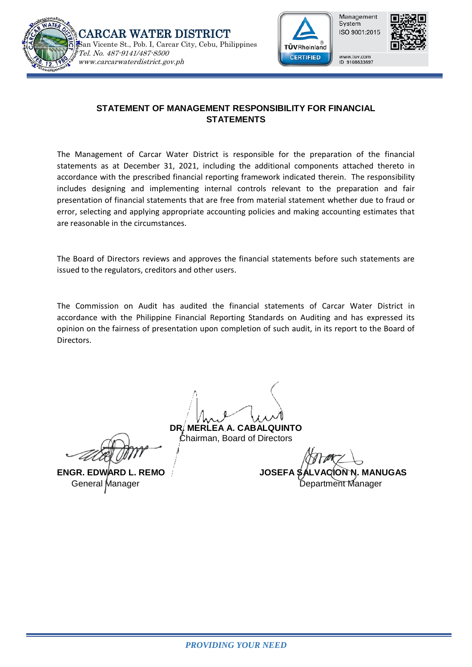





# **STATEMENT OF MANAGEMENT RESPONSIBILITY FOR FINANCIAL STATEMENTS**

The Management of Carcar Water District is responsible for the preparation of the financial statements as at December 31, 2021, including the additional components attached thereto in accordance with the prescribed financial reporting framework indicated therein. The responsibility includes designing and implementing internal controls relevant to the preparation and fair presentation of financial statements that are free from material statement whether due to fraud or error, selecting and applying appropriate accounting policies and making accounting estimates that are reasonable in the circumstances.

The Board of Directors reviews and approves the financial statements before such statements are issued to the regulators, creditors and other users.

The Commission on Audit has audited the financial statements of Carcar Water District in accordance with the Philippine Financial Reporting Standards on Auditing and has expressed its opinion on the fairness of presentation upon completion of such audit, in its report to the Board of Directors.

**DR. MERLEA A. CABALQUINTO** Chairman, Board of Directors

**ENGR. EDWARD L. REMO JOSEFA SALVACION N. MANUGAS** General Manager **Department Manager Department Manager**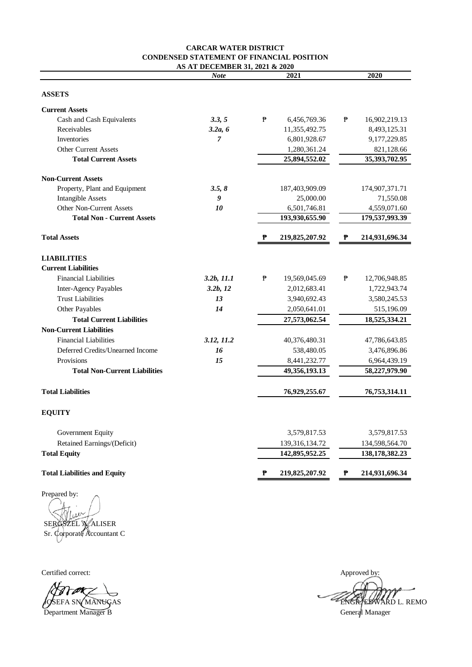|                                      | AS AT DECEMBER 31, 2021 & 2020<br><b>Note</b> |   | 2021           |   | 2020              |
|--------------------------------------|-----------------------------------------------|---|----------------|---|-------------------|
|                                      |                                               |   |                |   |                   |
| <b>ASSETS</b>                        |                                               |   |                |   |                   |
| <b>Current Assets</b>                |                                               |   |                |   |                   |
| Cash and Cash Equivalents            | 3.3, 5                                        | ₱ | 6,456,769.36   | ₱ | 16,902,219.13     |
| Receivables                          | 3.2a, 6                                       |   | 11,355,492.75  |   | 8,493,125.31      |
| Inventories                          | 7                                             |   | 6,801,928.67   |   | 9,177,229.85      |
| <b>Other Current Assets</b>          |                                               |   | 1,280,361.24   |   | 821,128.66        |
| <b>Total Current Assets</b>          |                                               |   | 25,894,552.02  |   | 35,393,702.95     |
| <b>Non-Current Assets</b>            |                                               |   |                |   |                   |
| Property, Plant and Equipment        | 3.5, 8                                        |   | 187,403,909.09 |   | 174,907,371.71    |
| <b>Intangible Assets</b>             | 9                                             |   | 25,000.00      |   | 71,550.08         |
| Other Non-Current Assets             | 10                                            |   | 6,501,746.81   |   | 4,559,071.60      |
| <b>Total Non - Current Assets</b>    |                                               |   | 193,930,655.90 |   | 179,537,993.39    |
| <b>Total Assets</b>                  |                                               | ₱ | 219,825,207.92 | ₱ | 214,931,696.34    |
| <b>LIABILITIES</b>                   |                                               |   |                |   |                   |
| <b>Current Liabilities</b>           |                                               |   |                |   |                   |
| <b>Financial Liabilities</b>         | 3.2b, 11.1                                    | ₱ | 19,569,045.69  | ₱ | 12,706,948.85     |
| <b>Inter-Agency Payables</b>         | 3.2b, 12                                      |   | 2,012,683.41   |   | 1,722,943.74      |
| <b>Trust Liabilities</b>             | 13                                            |   | 3,940,692.43   |   | 3,580,245.53      |
| Other Payables                       | 14                                            |   | 2,050,641.01   |   | 515,196.09        |
| <b>Total Current Liabilities</b>     |                                               |   | 27,573,062.54  |   | 18,525,334.21     |
| <b>Non-Current Liabilities</b>       |                                               |   |                |   |                   |
| <b>Financial Liabilities</b>         | 3.12, 11.2                                    |   | 40,376,480.31  |   | 47,786,643.85     |
| Deferred Credits/Unearned Income     | 16                                            |   | 538,480.05     |   | 3,476,896.86      |
| Provisions                           | 15                                            |   | 8,441,232.77   |   | 6,964,439.19      |
| <b>Total Non-Current Liabilities</b> |                                               |   | 49,356,193.13  |   | 58,227,979.90     |
| <b>Total Liabilities</b>             |                                               |   | 76,929,255.67  |   | 76,753,314.11     |
| <b>EQUITY</b>                        |                                               |   |                |   |                   |
| Government Equity                    |                                               |   | 3,579,817.53   |   | 3,579,817.53      |
| Retained Earnings/(Deficit)          |                                               |   | 139,316,134.72 |   | 134,598,564.70    |
| <b>Total Equity</b>                  |                                               |   | 142,895,952.25 |   | 138, 178, 382. 23 |
| <b>Total Liabilities and Equity</b>  |                                               | P | 219,825,207.92 | P | 214,931,696.34    |

Prepared by: w SERGSZEL **M**ALISER Sr. Corporate Accountant C

DR **JOSEFA SN MANUGAS**<br>Department Manager B

Certified correct: Approved by: **TENGRY SEWARD L. REMO**<br>General Manager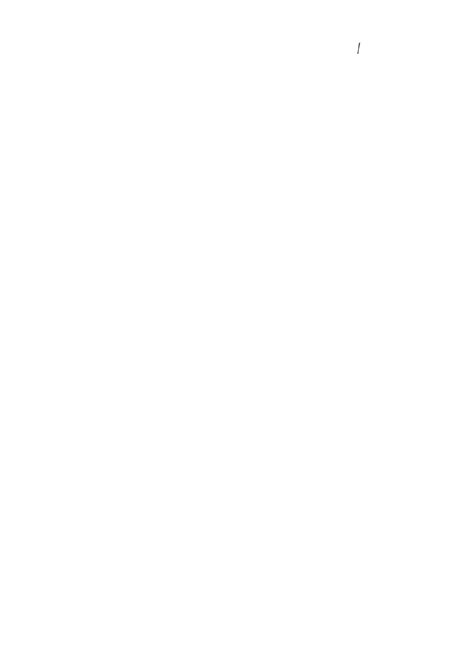$\boldsymbol{I}$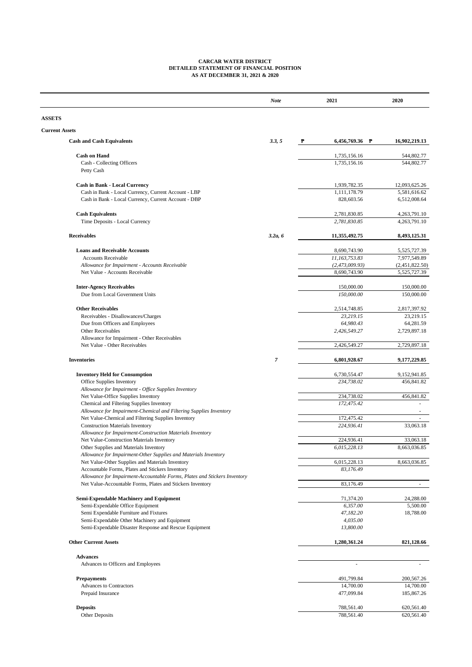|                                                                                                      | <b>Note</b>      | 2021                      | 2020            |
|------------------------------------------------------------------------------------------------------|------------------|---------------------------|-----------------|
| <b>ASSETS</b>                                                                                        |                  |                           |                 |
| <b>Current Assets</b>                                                                                |                  |                           |                 |
| <b>Cash and Cash Equivalents</b>                                                                     | 3.3, 5<br>P      | 6,456,769.36              | 16,902,219.13   |
| <b>Cash on Hand</b>                                                                                  |                  | 1,735,156.16              | 544,802.77      |
| Cash - Collecting Officers                                                                           |                  | 1,735,156.16              | 544,802.77      |
| Petty Cash                                                                                           |                  |                           |                 |
| Cash in Bank - Local Currency                                                                        |                  | 1,939,782.35              | 12,093,625.26   |
| Cash in Bank - Local Currency, Current Account - LBP                                                 |                  | 1,111,178.79              | 5,581,616.62    |
| Cash in Bank - Local Currency, Current Account - DBP                                                 |                  | 828,603.56                | 6,512,008.64    |
| <b>Cash Equivalents</b>                                                                              |                  | 2,781,830.85              | 4, 263, 791. 10 |
| Time Deposits - Local Currency                                                                       |                  | 2,781,830.85              | 4,263,791.10    |
| <b>Receivables</b>                                                                                   | 3.2a, 6          | 11,355,492.75             | 8,493,125.31    |
|                                                                                                      |                  |                           |                 |
| <b>Loans and Receivable Accounts</b>                                                                 |                  | 8,690,743.90              | 5,525,727.39    |
| <b>Accounts Receivable</b>                                                                           |                  | 11,163,753.83             | 7,977,549.89    |
| Allowance for Impairment - Accounts Receivable                                                       |                  | (2,473,009.93)            | (2,451,822.50)  |
| Net Value - Accounts Receivable                                                                      |                  | 8,690,743.90              | 5,525,727.39    |
| <b>Inter-Agency Receivables</b>                                                                      |                  | 150,000.00                | 150,000.00      |
| Due from Local Government Units                                                                      |                  | 150,000.00                | 150,000.00      |
| <b>Other Receivables</b>                                                                             |                  | 2,514,748.85              | 2,817,397.92    |
| Receivables - Disallowances/Charges                                                                  |                  | 23,219.15                 | 23,219.15       |
| Due from Officers and Employees                                                                      |                  | 64,980.43                 | 64,281.59       |
| Other Receivables                                                                                    |                  | 2,426,549.27              | 2,729,897.18    |
| Allowance for Impairment - Other Receivables<br>Net Value - Other Receivables                        |                  | 2,426,549.27              | 2,729,897.18    |
|                                                                                                      |                  |                           |                 |
| <b>Inventories</b>                                                                                   | $\boldsymbol{7}$ | 6,801,928.67              | 9,177,229.85    |
| <b>Inventory Held for Consumption</b>                                                                |                  | 6,730,554.47              | 9,152,941.85    |
| Office Supplies Inventory                                                                            |                  | 234,738.02                | 456,841.82      |
| Allowance for Impairment - Office Supplies Inventory                                                 |                  |                           |                 |
| Net Value-Office Supplies Inventory<br>Chemical and Filtering Supplies Inventory                     |                  | 234,738.02<br>172,475.42  | 456,841.82      |
| Allowance for Impairment-Chemical and Filtering Supplies Inventory                                   |                  |                           |                 |
| Net Value-Chemical and Filtering Supplies Inventory                                                  |                  | 172,475.42                | $\sim$          |
| <b>Construction Materials Inventory</b>                                                              |                  | 224,936.41                | 33,063.18       |
| Allowance for Impairment-Construction Materials Inventory                                            |                  |                           |                 |
| Net Value-Construction Materials Inventory                                                           |                  | 224,936.41                | 33,063.18       |
| Other Supplies and Materials Inventory                                                               |                  | 6,015,228.13              | 8,663,036.85    |
| Allowance for Impairment-Other Supplies and Materials Inventory                                      |                  |                           |                 |
| Net Value-Other Supplies and Materials Inventory<br>Accountable Forms, Plates and Stickers Inventory |                  | 6,015,228.13<br>83,176.49 | 8,663,036.85    |
| Allowance for Impairment-Accountable Forms, Plates and Stickers Inventory                            |                  |                           |                 |
| Net Value-Accountable Forms, Plates and Stickers Inventory                                           |                  | 83,176.49                 |                 |
| Semi-Expendable Machinery and Equipment                                                              |                  | 71,374.20                 | 24,288.00       |
| Semi-Expendable Office Equipment                                                                     |                  | 6,357.00                  | 5,500.00        |
| Semi Expendable Furniture and Fixtures                                                               |                  | 47,182.20                 | 18,788.00       |
| Semi-Expendable Other Machinery and Equipment                                                        |                  | 4,035.00                  |                 |
| Semi-Expendable Disaster Response and Rescue Equipment                                               |                  | 13,800.00                 |                 |
| <b>Other Current Assets</b>                                                                          |                  | 1,280,361.24              | 821,128.66      |
|                                                                                                      |                  |                           |                 |
| <b>Advances</b><br>Advances to Officers and Employees                                                |                  | $\sim$                    |                 |
|                                                                                                      |                  |                           |                 |
| <b>Prepayments</b>                                                                                   |                  | 491,799.84                | 200,567.26      |
| Advances to Contractors                                                                              |                  | 14,700.00                 | 14,700.00       |
| Prepaid Insurance                                                                                    |                  | 477,099.84                | 185,867.26      |
| <b>Deposits</b>                                                                                      |                  | 788,561.40                | 620,561.40      |
| Other Deposits                                                                                       |                  | 788,561.40                | 620,561.40      |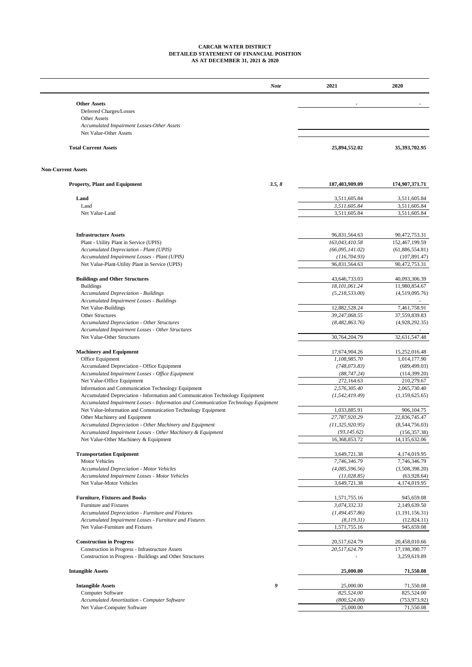|                                                                                                               | <b>Note</b> | 2021                            | 2020                            |
|---------------------------------------------------------------------------------------------------------------|-------------|---------------------------------|---------------------------------|
| <b>Other Assets</b>                                                                                           |             |                                 |                                 |
| Deferred Charges/Losses                                                                                       |             |                                 |                                 |
| Other Assets                                                                                                  |             |                                 |                                 |
| Accumulated Impairment Losses-Other Assets                                                                    |             |                                 |                                 |
| Net Value-Other Assets                                                                                        |             |                                 |                                 |
| <b>Total Current Assets</b>                                                                                   |             | 25,894,552.02                   | 35,393,702.95                   |
| <b>Non-Current Assets</b>                                                                                     |             |                                 |                                 |
| <b>Property, Plant and Equipment</b>                                                                          | 3.5, 8      | 187,403,909.09                  | 174,907,371.71                  |
| Land                                                                                                          |             | 3,511,605.84                    | 3,511,605.84                    |
| Land                                                                                                          |             | 3,511,605.84                    | 3,511,605.84                    |
| Net Value-Land                                                                                                |             | 3,511,605.84                    | 3,511,605.84                    |
|                                                                                                               |             |                                 |                                 |
| <b>Infrastructure Assets</b><br>Plant - Utility Plant in Service (UPIS)                                       |             | 96,831,564.63<br>163,043,410.58 | 90,472,753.31<br>152,467,199.59 |
| Accumulated Depreciation - Plant (UPIS)                                                                       |             | (66,095,141.02)                 | (61,886,554.81)                 |
| Accumulated Impairment Losses - Plant (UPIS)                                                                  |             | (116, 704.93)                   | (107, 891.47)                   |
| Net Value-Plant-Utility Plant in Service (UPIS)                                                               |             | 96,831,564.63                   | 90,472,753.31                   |
|                                                                                                               |             |                                 |                                 |
| <b>Buildings and Other Structures</b>                                                                         |             | 43,646,733.03<br>18,101,061.24  | 40,093,306.39                   |
| <b>Buildings</b><br><b>Accumulated Depreciation - Buildings</b>                                               |             | (5,218,533.00)                  | 11,980,854.67<br>(4,519,095.76) |
| Accumulated Impairment Losses - Buildings                                                                     |             |                                 |                                 |
| Net Value-Buildings                                                                                           |             | 12,882,528.24                   | 7,461,758.91                    |
| Other Structures                                                                                              |             | 39,247,068.55                   | 37,559,839.83                   |
| <b>Accumulated Depreciation - Other Structures</b>                                                            |             | (8,482,863.76)                  | (4,928,292.35)                  |
| Accumulated Impairment Losses - Other Structures                                                              |             |                                 |                                 |
| Net Value-Other Structures                                                                                    |             | 30,764,204.79                   | 32,631,547.48                   |
| <b>Machinery and Equipment</b>                                                                                |             | 17,674,904.26                   | 15,252,016.48                   |
| Office Equipment                                                                                              |             | 1,108,985.70                    | 1,014,177.90                    |
| Accumulated Depreciation - Office Equipment                                                                   |             | (748, 073.83)                   | (689, 499.03)                   |
| Accumulated Impairment Losses - Office Equipment                                                              |             | (88, 747.24)                    | (114, 399.20)                   |
| Net Value-Office Equipment<br>Information and Communication Technology Equipment                              |             | 272,164.63<br>2,576,305.40      | 210,279.67<br>2,065,730.40      |
| Accumulated Depreciation - Information and Communication Technology Equipment                                 |             | (1, 542, 419.49)                | (1,159,625.65)                  |
| Accumulated Impairment Losses - Information and Communication Technology Equipment                            |             |                                 |                                 |
| Net Value-Information and Communication Technology Equipment                                                  |             | 1,033,885.91                    | 906, 104. 75                    |
| Other Machinery and Equipment                                                                                 |             | 27,787,920.29                   | 22,836,745.47                   |
| Accumulated Depreciation - Other Machinery and Equipment                                                      |             | (11, 325, 920.95)               | (8,544,756.03)                  |
| Accumulated Impairment Losses - Other Machinery & Equipment                                                   |             | (93, 145.62)                    | (156, 357.38)                   |
| Net Value-Other Machinery & Equipment                                                                         |             | 16,368,853.72                   | 14,135,632.06                   |
| <b>Transportation Equipment</b>                                                                               |             | 3,649,721.38                    | 4,174,019.95                    |
| <b>Motor Vehicles</b>                                                                                         |             | 7,746,346.79                    | 7,746,346.79                    |
| <b>Accumulated Depreciation - Motor Vehicles</b>                                                              |             | (4,085,596.56)                  | (3,508,398.20)                  |
| Accumulated Impairment Losses - Motor Vehicles                                                                |             | (11, 028.85)                    | (63,928.64)                     |
| Net Value-Motor Vehicles                                                                                      |             | 3,649,721.38                    | 4,174,019.95                    |
| <b>Furniture, Fixtures and Books</b>                                                                          |             | 1,571,755.16                    | 945,659.08                      |
| Furniture and Fixtures                                                                                        |             | 3,074,332.33                    | 2,149,639.50                    |
| Accumulated Depreciation - Furniture and Fixtures                                                             |             | (1, 494, 457.86)                | (1, 191, 156.31)                |
| Accumulated Impairment Losses - Furniture and Fixtures<br>Net Value-Furniture and Fixtures                    |             | (8, 119.31)<br>1,571,755.16     | (12, 824.11)<br>945,659.08      |
|                                                                                                               |             |                                 |                                 |
| <b>Construction in Progress</b>                                                                               |             | 20,517,624.79                   | 20,458,010.66                   |
| Construction in Progress - Infrastructure Assets<br>Construction in Progress - Buildings and Other Structures |             | 20,517,624.79                   | 17,198,390.77<br>3,259,619.89   |
|                                                                                                               |             | 25,000.00                       | 71,550.08                       |
| <b>Intangible Assets</b>                                                                                      |             |                                 |                                 |
| <b>Intangible Assets</b>                                                                                      | 9           | 25,000.00                       | 71,550.08                       |
| Computer Software                                                                                             |             | 825,524.00                      | 825,524.00                      |
| Accumulated Amortization - Computer Software                                                                  |             | (800, 524.00)                   | (753,973.92)                    |
| Net Value-Computer Software                                                                                   |             | 25,000.00                       | 71,550.08                       |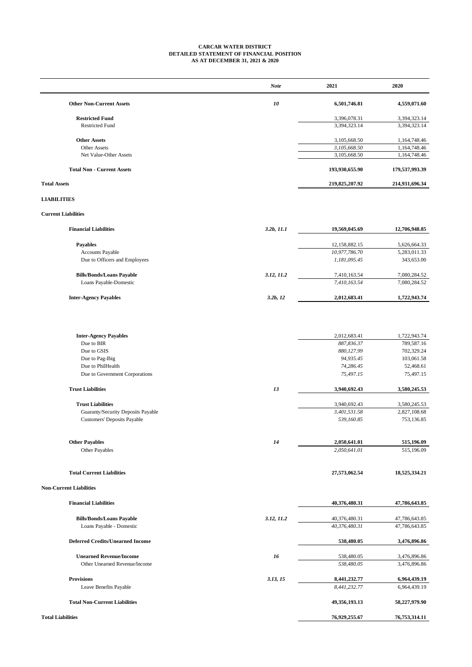|                                                                          | <b>Note</b> | 2021                         | 2020                       |
|--------------------------------------------------------------------------|-------------|------------------------------|----------------------------|
| <b>Other Non-Current Assets</b>                                          | 10          | 6,501,746.81                 | 4,559,071.60               |
| <b>Restricted Fund</b>                                                   |             | 3,396,078.31                 | 3,394,323.14               |
| <b>Restricted Fund</b>                                                   |             | 3,394,323.14                 | 3,394,323.14               |
| <b>Other Assets</b>                                                      |             | 3,105,668.50                 | 1,164,748.46               |
| Other Assets                                                             |             | 3,105,668.50                 | 1,164,748.46               |
| Net Value-Other Assets                                                   |             | 3,105,668.50                 | 1,164,748.46               |
| <b>Total Non - Current Assets</b>                                        |             | 193,930,655.90               | 179,537,993.39             |
| <b>Total Assets</b>                                                      |             | 219,825,207.92               | 214,931,696.34             |
| <b>LIABILITIES</b>                                                       |             |                              |                            |
| <b>Current Liabilities</b>                                               |             |                              |                            |
| <b>Financial Liabilities</b>                                             | 3.2b, 11.1  | 19,569,045.69                | 12,706,948.85              |
| <b>Payables</b>                                                          |             | 12,158,882.15                | 5,626,664.33               |
| Accounts Payable                                                         |             | 10,977,786.70                | 5,283,011.33               |
| Due to Officers and Employees                                            |             | 1,181,095.45                 | 343,653.00                 |
| <b>Bills/Bonds/Loans Payable</b>                                         | 3.12, 11.2  | 7,410,163.54                 | 7,080,284.52               |
| Loans Payable-Domestic                                                   |             | 7,410,163.54                 | 7,080,284.52               |
| <b>Inter-Agency Payables</b>                                             | 3.2b, 12    | 2,012,683.41                 | 1,722,943.74               |
|                                                                          |             |                              |                            |
| <b>Inter-Agency Payables</b>                                             |             | 2,012,683.41                 | 1,722,943.74               |
| Due to BIR                                                               |             | 887, 836.37                  | 789,587.16                 |
| Due to GSIS                                                              |             | 880, 127.99                  | 702,329.24                 |
| Due to Pag-Ibig                                                          |             | 94, 935.45                   | 103,061.58                 |
| Due to PhilHealth                                                        |             | 74,286.45                    | 52,468.61                  |
| Due to Government Corporations                                           |             | 75,497.15                    | 75,497.15                  |
| <b>Trust Liabilities</b>                                                 | 13          | 3,940,692.43                 | 3,580,245.53               |
| <b>Trust Liabilities</b>                                                 |             | 3,940,692.43                 | 3,580,245.53               |
| Guaranty/Security Deposits Payable<br><b>Customers' Deposits Payable</b> |             | 3,401,531.58<br>539,160.85   | 2,827,108.68<br>753,136.85 |
|                                                                          |             |                              |                            |
| <b>Other Payables</b><br>Other Payables                                  | 14          | 2,050,641.01<br>2,050,641.01 | 515,196.09<br>515,196.09   |
|                                                                          |             |                              |                            |
| <b>Total Current Liabilities</b>                                         |             | 27,573,062.54                | 18,525,334.21              |
| <b>Non-Current Liabilities</b>                                           |             |                              |                            |
| <b>Financial Liabilities</b>                                             |             | 40,376,480.31                | 47,786,643.85              |
| <b>Bills/Bonds/Loans Payable</b>                                         | 3.12, 11.2  | 40,376,480.31                | 47,786,643.85              |
| Loans Payable - Domestic                                                 |             | 40,376,480.31                | 47,786,643.85              |
| <b>Deferred Credits/Unearned Income</b>                                  |             | 538,480.05                   | 3,476,896.86               |
| <b>Unearned Revenue/Income</b>                                           | 16          | 538,480.05                   | 3,476,896.86               |
| Other Unearned Revenue/Income                                            |             | 538,480.05                   | 3,476,896.86               |
| <b>Provisions</b>                                                        | 3.13, 15    | 8,441,232.77                 | 6,964,439.19               |
| Leave Benefits Payable                                                   |             | 8,441,232.77                 | 6,964,439.19               |
| <b>Total Non-Current Liabilities</b>                                     |             | 49,356,193.13                | 58,227,979.90              |
| <b>Total Liabilities</b>                                                 |             | 76,929,255.67                | 76,753,314.11              |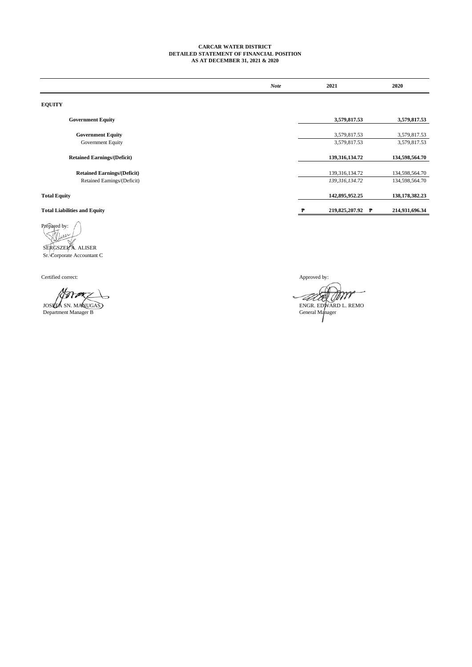|                                                       | <b>Note</b> | 2021                | 2020              |
|-------------------------------------------------------|-------------|---------------------|-------------------|
| <b>EQUITY</b>                                         |             |                     |                   |
| <b>Government Equity</b>                              |             | 3,579,817.53        | 3,579,817.53      |
| <b>Government Equity</b>                              |             | 3,579,817.53        | 3,579,817.53      |
| Government Equity                                     |             | 3,579,817.53        | 3,579,817.53      |
| <b>Retained Earnings/(Deficit)</b>                    |             | 139, 316, 134. 72   | 134,598,564.70    |
| <b>Retained Earnings/(Deficit)</b>                    |             | 139,316,134.72      | 134,598,564.70    |
| Retained Eamings/(Deficit)                            |             | 139, 316, 134.72    | 134,598,564.70    |
| <b>Total Equity</b>                                   |             | 142,895,952.25      | 138, 178, 382, 23 |
| <b>Total Liabilities and Equity</b>                   |             | 219,825,207.92<br>P | 214,931,696.34    |
| $\curvearrowright$<br>the contract of the contract of |             |                     |                   |

Prepared by:  $\left\langle \right\rangle$ West SERGSZEL<sup>X</sup>A. ALISER

Sr. Corporate Accountant C

Certified correct: Approved by:

 $\overline{\phantom{0}}$ 

Department Manager B

JOSEFA SN. MANUGAS BORTHER (FOR SHARD L. REMO  $\overline{1}$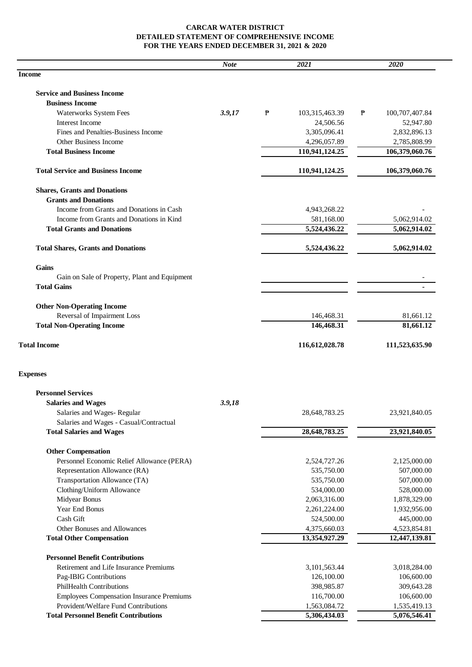|                                                                                  | <b>Note</b> |   | 2021                     |   | 2020                     |
|----------------------------------------------------------------------------------|-------------|---|--------------------------|---|--------------------------|
| <b>Income</b>                                                                    |             |   |                          |   |                          |
| <b>Service and Business Income</b>                                               |             |   |                          |   |                          |
| <b>Business Income</b>                                                           |             |   |                          |   |                          |
| Waterworks System Fees                                                           | 3.9,17      | ₱ | 103,315,463.39           | ₱ | 100,707,407.84           |
| Interest Income                                                                  |             |   | 24,506.56                |   | 52,947.80                |
| Fines and Penalties-Business Income                                              |             |   | 3,305,096.41             |   | 2,832,896.13             |
| <b>Other Business Income</b>                                                     |             |   | 4,296,057.89             |   | 2,785,808.99             |
| <b>Total Business Income</b>                                                     |             |   | 110,941,124.25           |   | 106,379,060.76           |
| <b>Total Service and Business Income</b>                                         |             |   | 110,941,124.25           |   | 106,379,060.76           |
| <b>Shares, Grants and Donations</b>                                              |             |   |                          |   |                          |
| <b>Grants and Donations</b>                                                      |             |   |                          |   |                          |
| Income from Grants and Donations in Cash                                         |             |   | 4,943,268.22             |   |                          |
| Income from Grants and Donations in Kind                                         |             |   | 581,168.00               |   | 5,062,914.02             |
| <b>Total Grants and Donations</b>                                                |             |   | 5,524,436.22             |   | 5,062,914.02             |
| <b>Total Shares, Grants and Donations</b>                                        |             |   | 5,524,436.22             |   | 5,062,914.02             |
| Gains                                                                            |             |   |                          |   |                          |
| Gain on Sale of Property, Plant and Equipment                                    |             |   |                          |   |                          |
| <b>Total Gains</b>                                                               |             |   |                          |   |                          |
| <b>Other Non-Operating Income</b>                                                |             |   |                          |   |                          |
| Reversal of Impairment Loss                                                      |             |   | 146,468.31               |   | 81,661.12                |
| <b>Total Non-Operating Income</b>                                                |             |   | 146,468.31               |   | 81,661.12                |
| <b>Total Income</b>                                                              |             |   | 116,612,028.78           |   | 111,523,635.90           |
| <b>Expenses</b>                                                                  |             |   |                          |   |                          |
| <b>Personnel Services</b>                                                        |             |   |                          |   |                          |
| <b>Salaries and Wages</b>                                                        | 3.9,18      |   |                          |   |                          |
| Salaries and Wages-Regular                                                       |             |   | 28,648,783.25            |   | 23,921,840.05            |
| Salaries and Wages - Casual/Contractual                                          |             |   |                          |   |                          |
| <b>Total Salaries and Wages</b>                                                  |             |   | 28,648,783.25            |   | 23,921,840.05            |
| <b>Other Compensation</b>                                                        |             |   |                          |   |                          |
| Personnel Economic Relief Allowance (PERA)                                       |             |   | 2,524,727.26             |   | 2,125,000.00             |
| Representation Allowance (RA)                                                    |             |   | 535,750.00               |   | 507,000.00               |
| Transportation Allowance (TA)                                                    |             |   | 535,750.00               |   | 507,000.00               |
| Clothing/Uniform Allowance                                                       |             |   | 534,000.00               |   | 528,000.00               |
| Midyear Bonus                                                                    |             |   | 2,063,316.00             |   | 1,878,329.00             |
| Year End Bonus                                                                   |             |   | 2,261,224.00             |   | 1,932,956.00             |
| Cash Gift                                                                        |             |   | 524,500.00               |   | 445,000.00               |
| Other Bonuses and Allowances                                                     |             |   | 4,375,660.03             |   | 4,523,854.81             |
| <b>Total Other Compensation</b>                                                  |             |   | 13,354,927.29            |   | 12,447,139.81            |
| <b>Personnel Benefit Contributions</b><br>Retirement and Life Insurance Premiums |             |   |                          |   |                          |
|                                                                                  |             |   | 3,101,563.44             |   | 3,018,284.00             |
| Pag-IBIG Contributions<br><b>PhilHealth Contributions</b>                        |             |   | 126,100.00               |   | 106,600.00               |
| <b>Employees Compensation Insurance Premiums</b>                                 |             |   | 398,985.87<br>116,700.00 |   | 309,643.28<br>106,600.00 |
| Provident/Welfare Fund Contributions                                             |             |   | 1,563,084.72             |   | 1,535,419.13             |
| <b>Total Personnel Benefit Contributions</b>                                     |             |   | 5,306,434.03             |   | 5,076,546.41             |
|                                                                                  |             |   |                          |   |                          |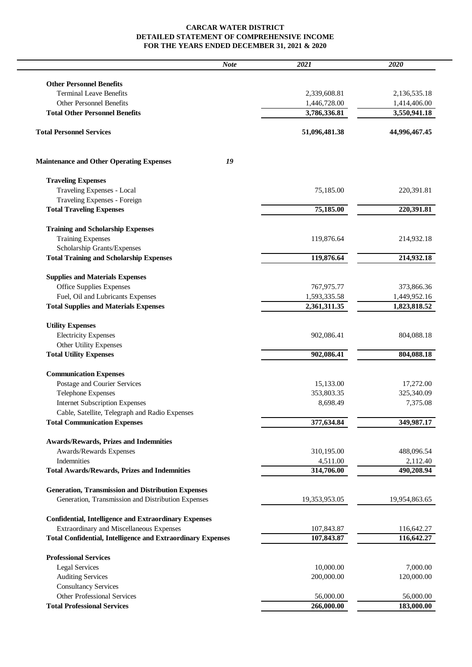|                                                                                                                 | <b>Note</b> | 2021          | 2020          |
|-----------------------------------------------------------------------------------------------------------------|-------------|---------------|---------------|
|                                                                                                                 |             |               |               |
| <b>Other Personnel Benefits</b>                                                                                 |             |               |               |
| <b>Terminal Leave Benefits</b>                                                                                  |             | 2,339,608.81  | 2,136,535.18  |
| Other Personnel Benefits<br><b>Total Other Personnel Benefits</b>                                               |             | 1,446,728.00  | 1,414,406.00  |
|                                                                                                                 |             | 3,786,336.81  | 3,550,941.18  |
| <b>Total Personnel Services</b>                                                                                 |             | 51,096,481.38 | 44,996,467.45 |
| <b>Maintenance and Other Operating Expenses</b>                                                                 | 19          |               |               |
| <b>Traveling Expenses</b>                                                                                       |             |               |               |
| Traveling Expenses - Local                                                                                      |             | 75,185.00     | 220,391.81    |
| Traveling Expenses - Foreign                                                                                    |             |               |               |
| <b>Total Traveling Expenses</b>                                                                                 |             | 75,185.00     | 220,391.81    |
|                                                                                                                 |             |               |               |
| <b>Training and Scholarship Expenses</b>                                                                        |             |               |               |
| <b>Training Expenses</b>                                                                                        |             | 119,876.64    | 214,932.18    |
| Scholarship Grants/Expenses                                                                                     |             |               |               |
| <b>Total Training and Scholarship Expenses</b>                                                                  |             | 119,876.64    | 214,932.18    |
| <b>Supplies and Materials Expenses</b>                                                                          |             |               |               |
| Office Supplies Expenses                                                                                        |             | 767,975.77    | 373,866.36    |
| Fuel, Oil and Lubricants Expenses                                                                               |             | 1,593,335.58  | 1,449,952.16  |
| <b>Total Supplies and Materials Expenses</b>                                                                    |             | 2,361,311.35  | 1,823,818.52  |
| <b>Utility Expenses</b>                                                                                         |             |               |               |
| <b>Electricity Expenses</b>                                                                                     |             | 902,086.41    | 804,088.18    |
| Other Utility Expenses                                                                                          |             |               |               |
| <b>Total Utility Expenses</b>                                                                                   |             | 902,086.41    | 804,088.18    |
| <b>Communication Expenses</b>                                                                                   |             |               |               |
| Postage and Courier Services                                                                                    |             | 15,133.00     | 17,272.00     |
| <b>Telephone Expenses</b>                                                                                       |             | 353,803.35    | 325,340.09    |
| <b>Internet Subscription Expenses</b>                                                                           |             | 8,698.49      | 7,375.08      |
| Cable, Satellite, Telegraph and Radio Expenses                                                                  |             |               |               |
| <b>Total Communication Expenses</b>                                                                             |             | 377,634.84    | 349,987.17    |
| <b>Awards/Rewards, Prizes and Indemnities</b>                                                                   |             |               |               |
| Awards/Rewards Expenses                                                                                         |             | 310,195.00    | 488,096.54    |
| Indemnities                                                                                                     |             | 4,511.00      | 2,112.40      |
| <b>Total Awards/Rewards, Prizes and Indemnities</b>                                                             |             | 314,706.00    | 490,208.94    |
|                                                                                                                 |             |               |               |
| <b>Generation, Transmission and Distribution Expenses</b><br>Generation, Transmission and Distribution Expenses |             |               |               |
|                                                                                                                 |             | 19,353,953.05 | 19,954,863.65 |
| <b>Confidential, Intelligence and Extraordinary Expenses</b>                                                    |             |               |               |
| Extraordinary and Miscellaneous Expenses                                                                        |             | 107,843.87    | 116,642.27    |
| <b>Total Confidential, Intelligence and Extraordinary Expenses</b>                                              |             | 107,843.87    | 116,642.27    |
| <b>Professional Services</b>                                                                                    |             |               |               |
| <b>Legal Services</b>                                                                                           |             | 10,000.00     | 7,000.00      |
| <b>Auditing Services</b>                                                                                        |             | 200,000.00    | 120,000.00    |
| <b>Consultancy Services</b>                                                                                     |             |               |               |
| <b>Other Professional Services</b>                                                                              |             | 56,000.00     | 56,000.00     |
| <b>Total Professional Services</b>                                                                              |             | 266,000.00    | 183,000.00    |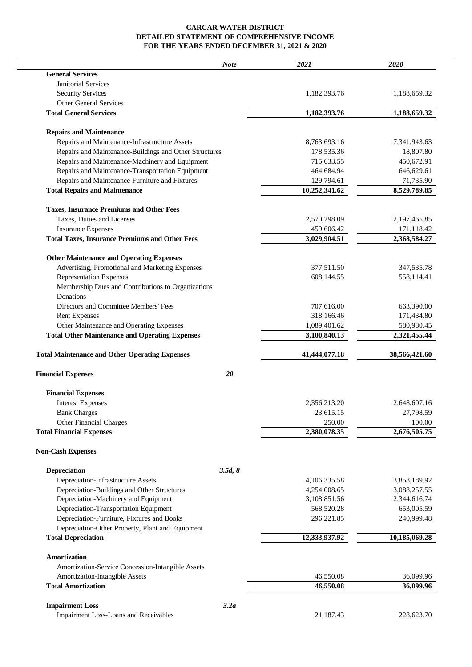|                                                        | <b>Note</b> | 2021          | 2020          |
|--------------------------------------------------------|-------------|---------------|---------------|
| <b>General Services</b>                                |             |               |               |
| Janitorial Services                                    |             |               |               |
| <b>Security Services</b>                               |             | 1,182,393.76  | 1,188,659.32  |
| <b>Other General Services</b>                          |             |               |               |
| <b>Total General Services</b>                          |             | 1,182,393.76  | 1,188,659.32  |
| <b>Repairs and Maintenance</b>                         |             |               |               |
| Repairs and Maintenance-Infrastructure Assets          |             | 8,763,693.16  | 7,341,943.63  |
| Repairs and Maintenance-Buildings and Other Structures |             | 178,535.36    | 18,807.80     |
| Repairs and Maintenance-Machinery and Equipment        |             | 715,633.55    | 450,672.91    |
| Repairs and Maintenance-Transportation Equipment       |             | 464,684.94    | 646,629.61    |
| Repairs and Maintenance-Furniture and Fixtures         |             | 129,794.61    | 71,735.90     |
| <b>Total Repairs and Maintenance</b>                   |             | 10,252,341.62 | 8,529,789.85  |
| <b>Taxes, Insurance Premiums and Other Fees</b>        |             |               |               |
| Taxes, Duties and Licenses                             |             | 2,570,298.09  | 2,197,465.85  |
| <b>Insurance Expenses</b>                              |             | 459,606.42    | 171,118.42    |
| <b>Total Taxes, Insurance Premiums and Other Fees</b>  |             | 3,029,904.51  | 2,368,584.27  |
| <b>Other Maintenance and Operating Expenses</b>        |             |               |               |
| Advertising, Promotional and Marketing Expenses        |             | 377,511.50    | 347,535.78    |
| <b>Representation Expenses</b>                         |             | 608,144.55    | 558,114.41    |
| Membership Dues and Contributions to Organizations     |             |               |               |
| Donations                                              |             |               |               |
| Directors and Committee Members' Fees                  |             | 707,616.00    | 663,390.00    |
| <b>Rent Expenses</b>                                   |             | 318,166.46    | 171,434.80    |
| Other Maintenance and Operating Expenses               |             | 1,089,401.62  | 580,980.45    |
| <b>Total Other Maintenance and Operating Expenses</b>  |             | 3,100,840.13  | 2,321,455.44  |
| <b>Total Maintenance and Other Operating Expenses</b>  |             | 41,444,077.18 | 38,566,421.60 |
| <b>Financial Expenses</b>                              | 20          |               |               |
| <b>Financial Expenses</b>                              |             |               |               |
| <b>Interest Expenses</b>                               |             | 2,356,213.20  | 2,648,607.16  |
| <b>Bank Charges</b>                                    |             | 23,615.15     | 27,798.59     |
| Other Financial Charges                                |             | 250.00        | 100.00        |
| <b>Total Financial Expenses</b>                        |             | 2,380,078.35  | 2,676,505.75  |
| <b>Non-Cash Expenses</b>                               |             |               |               |
| <b>Depreciation</b>                                    | 3.5d, 8     |               |               |
| Depreciation-Infrastructure Assets                     |             | 4,106,335.58  | 3,858,189.92  |
| Depreciation-Buildings and Other Structures            |             | 4,254,008.65  | 3,088,257.55  |
| Depreciation-Machinery and Equipment                   |             | 3,108,851.56  | 2,344,616.74  |
| Depreciation-Transportation Equipment                  |             | 568,520.28    | 653,005.59    |
| Depreciation-Furniture, Fixtures and Books             |             | 296,221.85    | 240,999.48    |
| Depreciation-Other Property, Plant and Equipment       |             |               |               |
| <b>Total Depreciation</b>                              |             | 12,333,937.92 | 10,185,069.28 |
| <b>Amortization</b>                                    |             |               |               |
| Amortization-Service Concession-Intangible Assets      |             |               |               |
| Amortization-Intangible Assets                         |             | 46,550.08     | 36,099.96     |
| <b>Total Amortization</b>                              |             | 46,550.08     | 36,099.96     |
| <b>Impairment Loss</b>                                 | 3.2a        |               |               |
| Impairment Loss-Loans and Receivables                  |             | 21,187.43     | 228,623.70    |
|                                                        |             |               |               |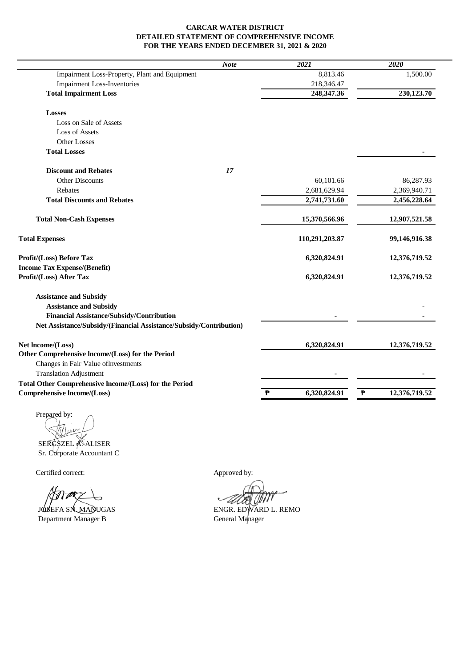| Impairment Loss-Property, Plant and Equipment<br>8,813.46<br>1,500.00<br><b>Impairment Loss-Inventories</b><br>218,346.47<br>230,123.70<br><b>Total Impairment Loss</b><br>248,347.36<br>Losses<br>Loss on Sale of Assets<br>Loss of Assets<br><b>Other Losses</b><br><b>Total Losses</b><br><b>Discount and Rebates</b><br>17<br><b>Other Discounts</b><br>60,101.66<br>86,287.93<br>2,681,629.94<br><b>Rebates</b><br>2,369,940.71<br><b>Total Discounts and Rebates</b><br>2,741,731.60<br>2,456,228.64<br><b>Total Non-Cash Expenses</b><br>15,370,566.96<br>12,907,521.58<br>110,291,203.87<br>99,146,916.38<br>6,320,824.91<br>12,376,719.52<br>6,320,824.91<br>12,376,719.52<br><b>Assistance and Subsidy</b><br><b>Assistance and Subsidy</b><br>Financial Assistance/Subsidy/Contribution<br>Net Assistance/Subsidy/(Financial Assistance/Subsidy/Contribution)<br>12,376,719.52<br>6,320,824.91<br>Changes in Fair Value of Investments<br><b>Translation Adjustment</b><br>6,320,824.91<br>₱<br>12,376,719.52<br>₱ |                                                        | <b>Note</b> | 2021 | 2020 |
|-------------------------------------------------------------------------------------------------------------------------------------------------------------------------------------------------------------------------------------------------------------------------------------------------------------------------------------------------------------------------------------------------------------------------------------------------------------------------------------------------------------------------------------------------------------------------------------------------------------------------------------------------------------------------------------------------------------------------------------------------------------------------------------------------------------------------------------------------------------------------------------------------------------------------------------------------------------------------------------------------------------------------------|--------------------------------------------------------|-------------|------|------|
|                                                                                                                                                                                                                                                                                                                                                                                                                                                                                                                                                                                                                                                                                                                                                                                                                                                                                                                                                                                                                               |                                                        |             |      |      |
|                                                                                                                                                                                                                                                                                                                                                                                                                                                                                                                                                                                                                                                                                                                                                                                                                                                                                                                                                                                                                               |                                                        |             |      |      |
|                                                                                                                                                                                                                                                                                                                                                                                                                                                                                                                                                                                                                                                                                                                                                                                                                                                                                                                                                                                                                               |                                                        |             |      |      |
|                                                                                                                                                                                                                                                                                                                                                                                                                                                                                                                                                                                                                                                                                                                                                                                                                                                                                                                                                                                                                               |                                                        |             |      |      |
|                                                                                                                                                                                                                                                                                                                                                                                                                                                                                                                                                                                                                                                                                                                                                                                                                                                                                                                                                                                                                               |                                                        |             |      |      |
|                                                                                                                                                                                                                                                                                                                                                                                                                                                                                                                                                                                                                                                                                                                                                                                                                                                                                                                                                                                                                               |                                                        |             |      |      |
|                                                                                                                                                                                                                                                                                                                                                                                                                                                                                                                                                                                                                                                                                                                                                                                                                                                                                                                                                                                                                               |                                                        |             |      |      |
|                                                                                                                                                                                                                                                                                                                                                                                                                                                                                                                                                                                                                                                                                                                                                                                                                                                                                                                                                                                                                               |                                                        |             |      |      |
|                                                                                                                                                                                                                                                                                                                                                                                                                                                                                                                                                                                                                                                                                                                                                                                                                                                                                                                                                                                                                               |                                                        |             |      |      |
|                                                                                                                                                                                                                                                                                                                                                                                                                                                                                                                                                                                                                                                                                                                                                                                                                                                                                                                                                                                                                               |                                                        |             |      |      |
|                                                                                                                                                                                                                                                                                                                                                                                                                                                                                                                                                                                                                                                                                                                                                                                                                                                                                                                                                                                                                               |                                                        |             |      |      |
|                                                                                                                                                                                                                                                                                                                                                                                                                                                                                                                                                                                                                                                                                                                                                                                                                                                                                                                                                                                                                               |                                                        |             |      |      |
|                                                                                                                                                                                                                                                                                                                                                                                                                                                                                                                                                                                                                                                                                                                                                                                                                                                                                                                                                                                                                               |                                                        |             |      |      |
|                                                                                                                                                                                                                                                                                                                                                                                                                                                                                                                                                                                                                                                                                                                                                                                                                                                                                                                                                                                                                               | <b>Total Expenses</b>                                  |             |      |      |
|                                                                                                                                                                                                                                                                                                                                                                                                                                                                                                                                                                                                                                                                                                                                                                                                                                                                                                                                                                                                                               | Profit/(Loss) Before Tax                               |             |      |      |
|                                                                                                                                                                                                                                                                                                                                                                                                                                                                                                                                                                                                                                                                                                                                                                                                                                                                                                                                                                                                                               | <b>Income Tax Expense/(Benefit)</b>                    |             |      |      |
|                                                                                                                                                                                                                                                                                                                                                                                                                                                                                                                                                                                                                                                                                                                                                                                                                                                                                                                                                                                                                               | Profit/(Loss) After Tax                                |             |      |      |
|                                                                                                                                                                                                                                                                                                                                                                                                                                                                                                                                                                                                                                                                                                                                                                                                                                                                                                                                                                                                                               |                                                        |             |      |      |
|                                                                                                                                                                                                                                                                                                                                                                                                                                                                                                                                                                                                                                                                                                                                                                                                                                                                                                                                                                                                                               |                                                        |             |      |      |
|                                                                                                                                                                                                                                                                                                                                                                                                                                                                                                                                                                                                                                                                                                                                                                                                                                                                                                                                                                                                                               |                                                        |             |      |      |
|                                                                                                                                                                                                                                                                                                                                                                                                                                                                                                                                                                                                                                                                                                                                                                                                                                                                                                                                                                                                                               |                                                        |             |      |      |
|                                                                                                                                                                                                                                                                                                                                                                                                                                                                                                                                                                                                                                                                                                                                                                                                                                                                                                                                                                                                                               | Net Income/(Loss)                                      |             |      |      |
|                                                                                                                                                                                                                                                                                                                                                                                                                                                                                                                                                                                                                                                                                                                                                                                                                                                                                                                                                                                                                               | Other Comprehensive Income/(Loss) for the Period       |             |      |      |
|                                                                                                                                                                                                                                                                                                                                                                                                                                                                                                                                                                                                                                                                                                                                                                                                                                                                                                                                                                                                                               |                                                        |             |      |      |
|                                                                                                                                                                                                                                                                                                                                                                                                                                                                                                                                                                                                                                                                                                                                                                                                                                                                                                                                                                                                                               |                                                        |             |      |      |
|                                                                                                                                                                                                                                                                                                                                                                                                                                                                                                                                                                                                                                                                                                                                                                                                                                                                                                                                                                                                                               | Total Other Comprehensive Income/(Loss) for the Period |             |      |      |
|                                                                                                                                                                                                                                                                                                                                                                                                                                                                                                                                                                                                                                                                                                                                                                                                                                                                                                                                                                                                                               | Comprehensive Income/(Loss)                            |             |      |      |

Prepared by:

SERGSZEL A. ALISER Sr. Corporate Accountant C

Certified correct: Approved by:

omarz

Department Manager B General Manager

- MAN

JOSEFA SN. MANUGAS ENGR. EDWARD L. REMO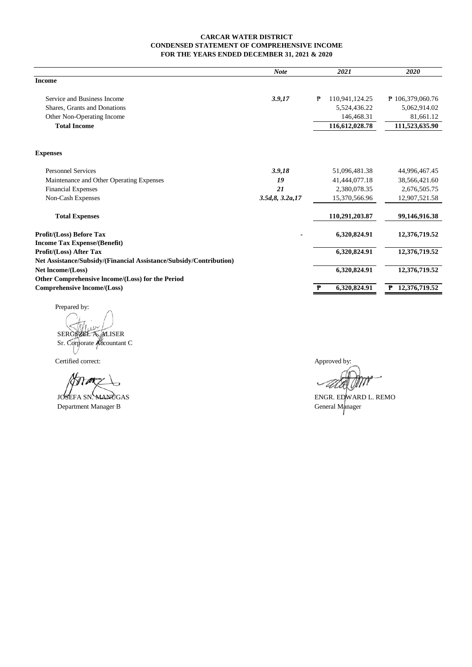|                                                                                 | <b>Note</b>       |   | 2021           | 2020             |
|---------------------------------------------------------------------------------|-------------------|---|----------------|------------------|
| <b>Income</b>                                                                   |                   |   |                |                  |
| Service and Business Income                                                     | 3.9,17            | ₱ | 110,941,124.25 | ₱ 106,379,060.76 |
| Shares, Grants and Donations                                                    |                   |   | 5,524,436.22   | 5,062,914.02     |
| Other Non-Operating Income                                                      |                   |   | 146,468.31     | 81,661.12        |
| <b>Total Income</b>                                                             |                   |   | 116,612,028.78 | 111,523,635.90   |
| <b>Expenses</b>                                                                 |                   |   |                |                  |
| <b>Personnel Services</b>                                                       | 3.9,18            |   | 51,096,481.38  | 44,996,467.45    |
| Maintenance and Other Operating Expenses                                        | 19                |   | 41,444,077.18  | 38,566,421.60    |
| <b>Financial Expenses</b>                                                       | 21                |   | 2,380,078.35   | 2,676,505.75     |
| Non-Cash Expenses                                                               | 3.5d, 8, 3.2a, 17 |   | 15,370,566.96  | 12,907,521.58    |
| <b>Total Expenses</b>                                                           |                   |   | 110,291,203.87 | 99,146,916.38    |
| <b>Profit/(Loss) Before Tax</b><br><b>Income Tax Expense/(Benefit)</b>          |                   |   | 6,320,824.91   | 12,376,719.52    |
| Profit/(Loss) After Tax                                                         |                   |   | 6,320,824.91   | 12,376,719.52    |
| Net Assistance/Subsidy/(Financial Assistance/Subsidy/Contribution)              |                   |   |                |                  |
| Net Income/(Loss)                                                               |                   |   | 6,320,824.91   | 12,376,719.52    |
| Other Comprehensive Income/(Loss) for the Period<br>Comprehensive Income/(Loss) |                   | ₱ | 6,320,824.91   | 12,376,719.52    |
|                                                                                 |                   |   |                |                  |

Prepared by:

SERGSZEL A. ALISER Sr. Corporate Accountant C

Certified correct: Approved by:

Department Manager B

 $\overline{\phantom{0}}$ UA ' Ul

JOSEFA SN. MANUGAS ENGR. EDWARD L. REMO<br>
Department Manager B General Manager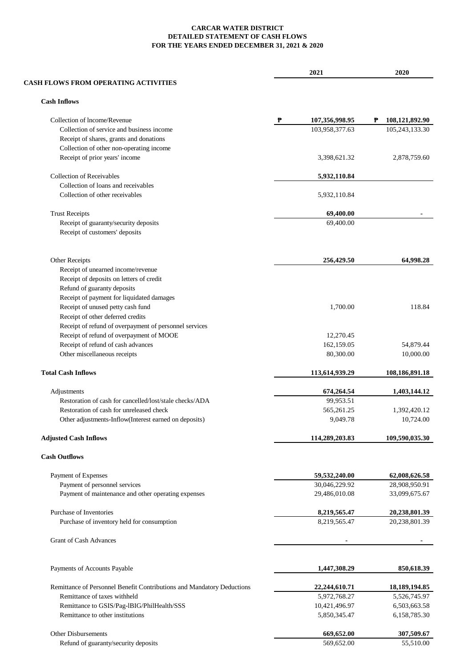# **CARCAR WATER DISTRICT DETAILED STATEMENT OF CASH FLOWS FOR THE YEARS ENDED DECEMBER 31, 2021 & 2020**

|                                                                        |   | 2021           | 2020                       |
|------------------------------------------------------------------------|---|----------------|----------------------------|
| <b>CASH FLOWS FROM OPERATING ACTIVITIES</b>                            |   |                |                            |
| <b>Cash Inflows</b>                                                    |   |                |                            |
| Collection of Income/Revenue                                           | ₱ | 107,356,998.95 | ₱<br>108,121,892.90        |
| Collection of service and business income                              |   | 103,958,377.63 | 105,243,133.30             |
| Receipt of shares, grants and donations                                |   |                |                            |
| Collection of other non-operating income                               |   |                |                            |
| Receipt of prior years' income                                         |   | 3,398,621.32   | 2,878,759.60               |
| <b>Collection of Receivables</b>                                       |   | 5,932,110.84   |                            |
| Collection of loans and receivables                                    |   |                |                            |
| Collection of other receivables                                        |   | 5,932,110.84   |                            |
| <b>Trust Receipts</b>                                                  |   | 69,400.00      |                            |
| Receipt of guaranty/security deposits                                  |   | 69,400.00      |                            |
| Receipt of customers' deposits                                         |   |                |                            |
| Other Receipts                                                         |   | 256,429.50     | 64,998.28                  |
| Receipt of unearned income/revenue                                     |   |                |                            |
| Receipt of deposits on letters of credit                               |   |                |                            |
| Refund of guaranty deposits                                            |   |                |                            |
| Receipt of payment for liquidated damages                              |   |                |                            |
| Receipt of unused petty cash fund                                      |   | 1,700.00       | 118.84                     |
| Receipt of other deferred credits                                      |   |                |                            |
| Receipt of refund of overpayment of personnel services                 |   |                |                            |
| Receipt of refund of overpayment of MOOE                               |   | 12,270.45      |                            |
| Receipt of refund of cash advances                                     |   | 162,159.05     | 54,879.44                  |
| Other miscellaneous receipts                                           |   | 80,300.00      | 10,000.00                  |
| <b>Total Cash Inflows</b>                                              |   | 113,614,939.29 | 108,186,891.18             |
| Adjustments                                                            |   | 674,264.54     | 1,403,144.12               |
| Restoration of cash for cancelled/lost/stale checks/ADA                |   | 99,953.51      |                            |
| Restoration of cash for unreleased check                               |   | 565,261.25     | 1,392,420.12               |
| Other adjustments-Inflow(Interest earned on deposits)                  |   | 9,049.78       | 10,724.00                  |
| <b>Adjusted Cash Inflows</b>                                           |   | 114,289,203.83 | 109,590,035.30             |
| <b>Cash Outflows</b>                                                   |   |                |                            |
| Payment of Expenses                                                    |   | 59,532,240.00  | 62,008,626.58              |
| Payment of personnel services                                          |   | 30,046,229.92  | 28,908,950.91              |
| Payment of maintenance and other operating expenses                    |   | 29,486,010.08  | 33,099,675.67              |
| Purchase of Inventories                                                |   | 8,219,565.47   | 20,238,801.39              |
| Purchase of inventory held for consumption                             |   | 8,219,565.47   | 20,238,801.39              |
| Grant of Cash Advances                                                 |   |                |                            |
| Payments of Accounts Payable                                           |   | 1,447,308.29   | 850,618.39                 |
| Remittance of Personnel Benefit Contributions and Mandatory Deductions |   | 22,244,610.71  | 18,189,194.85              |
| Remittance of taxes withheld                                           |   | 5,972,768.27   | 5,526,745.97               |
|                                                                        |   | 10,421,496.97  | 6,503,663.58               |
| Remittance to GSIS/Pag-lBIG/PhilHealth/SSS                             |   |                |                            |
| Remittance to other institutions                                       |   | 5,850,345.47   |                            |
| <b>Other Disbursements</b>                                             |   | 669,652.00     | 6,158,785.30<br>307,509.67 |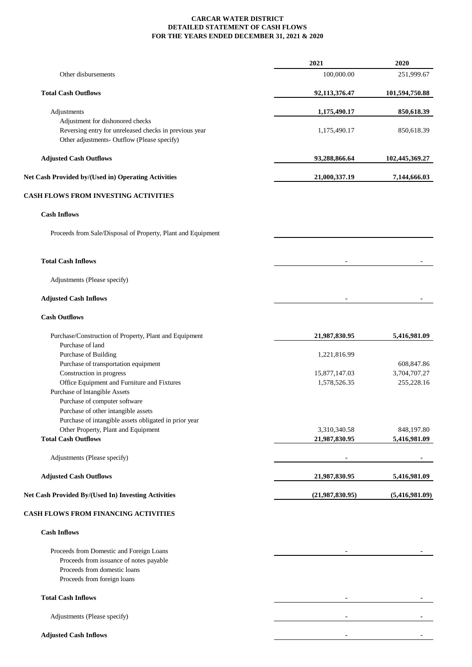# **CARCAR WATER DISTRICT DETAILED STATEMENT OF CASH FLOWS FOR THE YEARS ENDED DECEMBER 31, 2021 & 2020**

|                                                              | 2021            | 2020           |
|--------------------------------------------------------------|-----------------|----------------|
| Other disbursements                                          | 100,000.00      | 251,999.67     |
| <b>Total Cash Outflows</b>                                   | 92,113,376.47   | 101,594,750.88 |
| Adjustments                                                  | 1,175,490.17    | 850,618.39     |
| Adjustment for dishonored checks                             |                 |                |
| Reversing entry for unreleased checks in previous year       | 1,175,490.17    | 850,618.39     |
| Other adjustments- Outflow (Please specify)                  |                 |                |
| <b>Adjusted Cash Outflows</b>                                | 93,288,866.64   | 102,445,369.27 |
| Net Cash Provided by/(Used in) Operating Activities          | 21,000,337.19   | 7,144,666.03   |
| <b>CASH FLOWS FROM INVESTING ACTIVITIES</b>                  |                 |                |
| <b>Cash Inflows</b>                                          |                 |                |
| Proceeds from Sale/Disposal of Property, Plant and Equipment |                 |                |
|                                                              |                 |                |
| <b>Total Cash Inflows</b>                                    |                 |                |
| Adjustments (Please specify)                                 |                 |                |
| <b>Adjusted Cash Inflows</b>                                 |                 |                |
| <b>Cash Outflows</b>                                         |                 |                |
| Purchase/Construction of Property, Plant and Equipment       | 21,987,830.95   | 5,416,981.09   |
| Purchase of land                                             |                 |                |
| Purchase of Building                                         | 1,221,816.99    |                |
| Purchase of transportation equipment                         |                 | 608,847.86     |
| Construction in progress                                     | 15,877,147.03   | 3,704,707.27   |
| Office Equipment and Furniture and Fixtures                  | 1,578,526.35    | 255,228.16     |
| Purchase of Intangible Assets                                |                 |                |
| Purchase of computer software                                |                 |                |
| Purchase of other intangible assets                          |                 |                |
| Purchase of intangible assets obligated in prior year        |                 |                |
| Other Property, Plant and Equipment                          | 3,310,340.58    | 848,197.80     |
| <b>Total Cash Outflows</b>                                   | 21,987,830.95   | 5,416,981.09   |
| Adjustments (Please specify)                                 |                 |                |
| <b>Adjusted Cash Outflows</b>                                | 21,987,830.95   | 5,416,981.09   |
| Net Cash Provided By/(Used In) Investing Activities          | (21,987,830.95) | (5,416,981.09) |
| <b>CASH FLOWS FROM FINANCING ACTIVITIES</b>                  |                 |                |
| <b>Cash Inflows</b>                                          |                 |                |
| Proceeds from Domestic and Foreign Loans                     |                 |                |
| Proceeds from issuance of notes payable                      |                 |                |
| Proceeds from domestic loans                                 |                 |                |
| Proceeds from foreign loans                                  |                 |                |
| <b>Total Cash Inflows</b>                                    |                 |                |
|                                                              |                 |                |
| Adjustments (Please specify)                                 |                 |                |

**Adjusted Cash Inflows - -**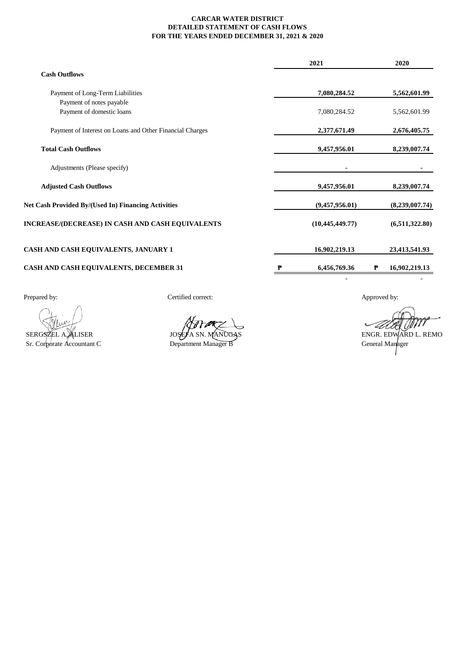## **CARCAR WATER DISTRICT DETAILED STATEMENT OF CASH FLOWS FOR THE YEARS ENDED DECEMBER 31, 2021 & 2020**

|                                                          | 2021              |   | 2020           |
|----------------------------------------------------------|-------------------|---|----------------|
| <b>Cash Outflows</b>                                     |                   |   |                |
| Payment of Long-Term Liabilities                         | 7,080,284.52      |   | 5,562,601.99   |
| Payment of notes payable                                 |                   |   |                |
| Payment of domestic loans                                | 7,080,284.52      |   | 5,562,601.99   |
| Payment of Interest on Loans and Other Financial Charges | 2,377,671.49      |   | 2,676,405.75   |
| <b>Total Cash Outflows</b>                               | 9,457,956.01      |   | 8,239,007.74   |
| Adjustments (Please specify)                             |                   |   |                |
| <b>Adjusted Cash Outflows</b>                            | 9,457,956.01      |   | 8,239,007.74   |
| Net Cash Provided By/(Used In) Financing Activities      | (9,457,956.01)    |   | (8,239,007.74) |
| <b>INCREASE/(DECREASE) IN CASH AND CASH EQUIVALENTS</b>  | (10, 445, 449.77) |   | (6,511,322.80) |
| CASH AND CASH EQUIVALENTS, JANUARY 1                     | 16,902,219.13     |   | 23,413,541.93  |
| CASH AND CASH EQUIVALENTS, DECEMBER 31                   | 6,456,769.36      | ₱ | 16,902,219.13  |

Sr. Corporate Accountant C Department Manager B General Manager General Manager

Prepared by: Certified correct: Approved by:

U SERGSZEL A ALISER JOSEFA SN. MANUGAS ENGR. EDWARD L. REMO<br>Sr. Corporate Accountant C Department Manager B General Manager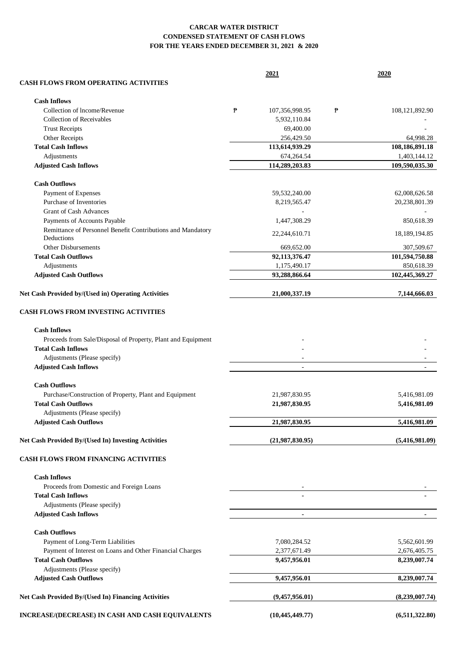# **CARCAR WATER DISTRICT CONDENSED STATEMENT OF CASH FLOWS FOR THE YEARS ENDED DECEMBER 31, 2021 & 2020**

|                                                              | 2021                | 2020                   |
|--------------------------------------------------------------|---------------------|------------------------|
| <b>CASH FLOWS FROM OPERATING ACTIVITIES</b>                  |                     |                        |
| <b>Cash Inflows</b>                                          |                     |                        |
| Collection of Income/Revenue                                 | ₱<br>107,356,998.95 | ₱<br>108, 121, 892. 90 |
| <b>Collection of Receivables</b>                             | 5,932,110.84        |                        |
| <b>Trust Receipts</b>                                        | 69,400.00           |                        |
| Other Receipts                                               | 256,429.50          | 64,998.28              |
| <b>Total Cash Inflows</b>                                    | 113,614,939.29      | 108,186,891.18         |
| Adjustments                                                  | 674,264.54          | 1,403,144.12           |
| <b>Adjusted Cash Inflows</b>                                 | 114,289,203.83      | 109,590,035.30         |
| <b>Cash Outflows</b>                                         |                     |                        |
| Payment of Expenses                                          | 59,532,240.00       | 62,008,626.58          |
| Purchase of Inventories                                      | 8,219,565.47        | 20,238,801.39          |
| <b>Grant of Cash Advances</b>                                |                     |                        |
| Payments of Accounts Payable                                 | 1,447,308.29        | 850,618.39             |
| Remittance of Personnel Benefit Contributions and Mandatory  |                     |                        |
| Deductions                                                   | 22, 244, 610. 71    | 18, 189, 194. 85       |
| <b>Other Disbursements</b>                                   | 669,652.00          | 307,509.67             |
| <b>Total Cash Outflows</b>                                   | 92,113,376.47       | 101,594,750.88         |
| Adjustments                                                  | 1,175,490.17        | 850,618.39             |
| <b>Adjusted Cash Outflows</b>                                | 93,288,866.64       | 102,445,369.27         |
| Net Cash Provided by/(Used in) Operating Activities          | 21,000,337.19       | 7.144.666.03           |
|                                                              |                     |                        |
| CASH FLOWS FROM INVESTING ACTIVITIES                         |                     |                        |
| <b>Cash Inflows</b>                                          |                     |                        |
| Proceeds from Sale/Disposal of Property, Plant and Equipment |                     |                        |
| <b>Total Cash Inflows</b>                                    |                     |                        |
| Adjustments (Please specify)                                 |                     |                        |
| <b>Adjusted Cash Inflows</b>                                 |                     |                        |
|                                                              |                     |                        |
| <b>Cash Outflows</b>                                         |                     |                        |
| Purchase/Construction of Property, Plant and Equipment       | 21,987,830.95       | 5,416,981.09           |
| <b>Total Cash Outflows</b>                                   | 21,987,830.95       | 5,416,981.09           |
| Adjustments (Please specify)                                 |                     |                        |
| <b>Adjusted Cash Outflows</b>                                | 21,987,830.95       | 5,416,981.09           |
| Net Cash Provided By/(Used In) Investing Activities          | (21,987,830.95)     | (5,416,981.09)         |
| <b>CASH FLOWS FROM FINANCING ACTIVITIES</b>                  |                     |                        |
| <b>Cash Inflows</b>                                          |                     |                        |
| Proceeds from Domestic and Foreign Loans                     |                     |                        |
| <b>Total Cash Inflows</b>                                    |                     |                        |
| Adjustments (Please specify)                                 |                     |                        |
| <b>Adjusted Cash Inflows</b>                                 |                     |                        |
|                                                              |                     |                        |
| <b>Cash Outflows</b>                                         |                     |                        |
| Payment of Long-Term Liabilities                             | 7,080,284.52        | 5,562,601.99           |
| Payment of Interest on Loans and Other Financial Charges     | 2,377,671.49        | 2,676,405.75           |
| <b>Total Cash Outflows</b>                                   | 9,457,956.01        | 8,239,007.74           |
| Adjustments (Please specify)                                 |                     |                        |
| <b>Adjusted Cash Outflows</b>                                | 9,457,956.01        | 8,239,007.74           |
| Net Cash Provided By/(Used In) Financing Activities          | (9,457,956.01)      | (8,239,007.74)         |
| INCREASE/(DECREASE) IN CASH AND CASH EQUIVALENTS             | (10, 445, 449.77)   | (6,511,322.80)         |
|                                                              |                     |                        |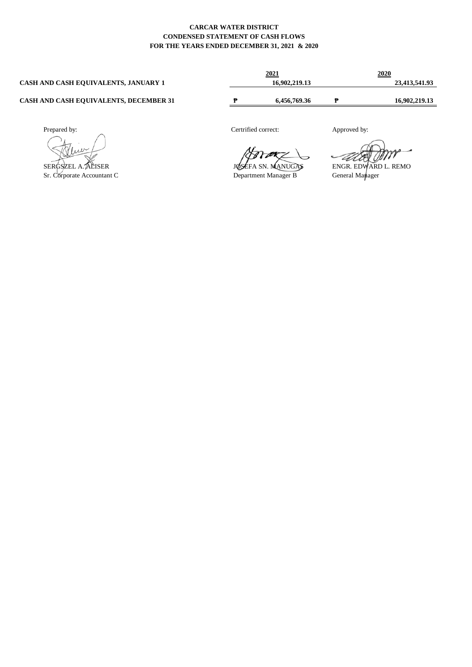# **CARCAR WATER DISTRICT CONDENSED STATEMENT OF CASH FLOWS FOR THE YEARS ENDED DECEMBER 31, 2021 & 2020**

# **2021 2020 CASH AND CASH EQUIVALENTS, JANUARY 1** 16,902,219.13 23,413,541.93 **CASH AND CASH EQUIVALENTS, DECEMBER 31 ₱ 6,456,769.36 ₱ 16,902,219.13**

Sr. Corporate Accountant C Department Manager B

Prepared by: <br> Certrified correct: <br> Approved by:

SERGSZEL A. ALISER JOSEFA SN. MANUGAS ENGR. EDWARD L. REMO<br>Sr. Corporate Accountant C Department Manager B General Manager